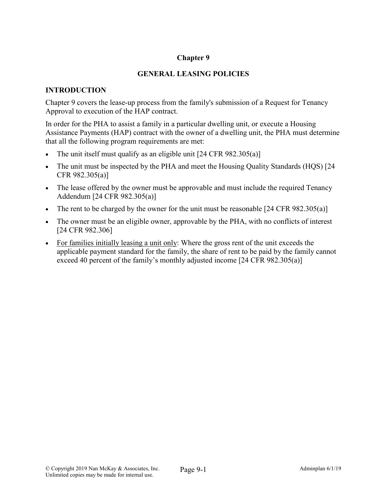## **Chapter 9**

### **GENERAL LEASING POLICIES**

### **INTRODUCTION**

Chapter 9 covers the lease-up process from the family's submission of a Request for Tenancy Approval to execution of the HAP contract.

In order for the PHA to assist a family in a particular dwelling unit, or execute a Housing Assistance Payments (HAP) contract with the owner of a dwelling unit, the PHA must determine that all the following program requirements are met:

- The unit itself must qualify as an eligible unit  $[24 \text{ CFR } 982.305(a)]$
- The unit must be inspected by the PHA and meet the Housing Quality Standards (HQS) [24 CFR 982.305(a)]
- The lease offered by the owner must be approvable and must include the required Tenancy Addendum [24 CFR 982.305(a)]
- The rent to be charged by the owner for the unit must be reasonable  $[24 \text{ CFR } 982.305(a)]$
- The owner must be an eligible owner, approvable by the PHA, with no conflicts of interest [24 CFR 982.306]
- For families initially leasing a unit only: Where the gross rent of the unit exceeds the applicable payment standard for the family, the share of rent to be paid by the family cannot exceed 40 percent of the family's monthly adjusted income [24 CFR 982.305(a)]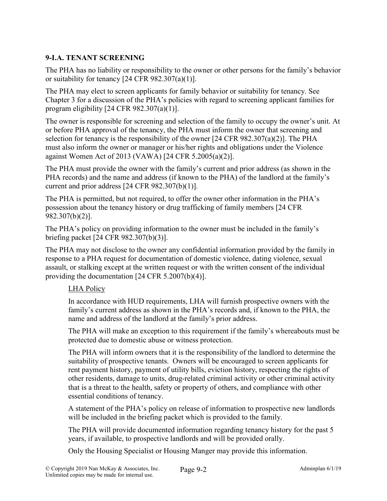# **9-I.A. TENANT SCREENING**

The PHA has no liability or responsibility to the owner or other persons for the family's behavior or suitability for tenancy [24 CFR 982.307(a)(1)].

The PHA may elect to screen applicants for family behavior or suitability for tenancy. See Chapter 3 for a discussion of the PHA's policies with regard to screening applicant families for program eligibility [24 CFR 982.307(a)(1)].

The owner is responsible for screening and selection of the family to occupy the owner's unit. At or before PHA approval of the tenancy, the PHA must inform the owner that screening and selection for tenancy is the responsibility of the owner  $[24 \text{ CFR } 982.307(a)(2)]$ . The PHA must also inform the owner or manager or his/her rights and obligations under the Violence against Women Act of 2013 (VAWA) [24 CFR 5.2005(a)(2)].

The PHA must provide the owner with the family's current and prior address (as shown in the PHA records) and the name and address (if known to the PHA) of the landlord at the family's current and prior address [24 CFR 982.307(b)(1)].

The PHA is permitted, but not required, to offer the owner other information in the PHA's possession about the tenancy history or drug trafficking of family members [24 CFR 982.307(b)(2)].

The PHA's policy on providing information to the owner must be included in the family's briefing packet [24 CFR 982.307(b)(3)].

The PHA may not disclose to the owner any confidential information provided by the family in response to a PHA request for documentation of domestic violence, dating violence, sexual assault, or stalking except at the written request or with the written consent of the individual providing the documentation [24 CFR 5.2007(b)(4)].

### LHA Policy

In accordance with HUD requirements, LHA will furnish prospective owners with the family's current address as shown in the PHA's records and, if known to the PHA, the name and address of the landlord at the family's prior address.

The PHA will make an exception to this requirement if the family's whereabouts must be protected due to domestic abuse or witness protection.

The PHA will inform owners that it is the responsibility of the landlord to determine the suitability of prospective tenants. Owners will be encouraged to screen applicants for rent payment history, payment of utility bills, eviction history, respecting the rights of other residents, damage to units, drug-related criminal activity or other criminal activity that is a threat to the health, safety or property of others, and compliance with other essential conditions of tenancy.

A statement of the PHA's policy on release of information to prospective new landlords will be included in the briefing packet which is provided to the family.

The PHA will provide documented information regarding tenancy history for the past 5 years, if available, to prospective landlords and will be provided orally.

Only the Housing Specialist or Housing Manger may provide this information.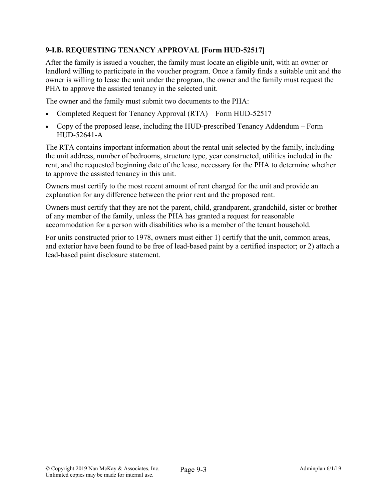# **9-I.B. REQUESTING TENANCY APPROVAL [Form HUD-52517]**

After the family is issued a voucher, the family must locate an eligible unit, with an owner or landlord willing to participate in the voucher program. Once a family finds a suitable unit and the owner is willing to lease the unit under the program, the owner and the family must request the PHA to approve the assisted tenancy in the selected unit.

The owner and the family must submit two documents to the PHA:

- Completed Request for Tenancy Approval (RTA) Form HUD-52517
- Copy of the proposed lease, including the HUD-prescribed Tenancy Addendum Form HUD-52641-A

The RTA contains important information about the rental unit selected by the family, including the unit address, number of bedrooms, structure type, year constructed, utilities included in the rent, and the requested beginning date of the lease, necessary for the PHA to determine whether to approve the assisted tenancy in this unit.

Owners must certify to the most recent amount of rent charged for the unit and provide an explanation for any difference between the prior rent and the proposed rent.

Owners must certify that they are not the parent, child, grandparent, grandchild, sister or brother of any member of the family, unless the PHA has granted a request for reasonable accommodation for a person with disabilities who is a member of the tenant household.

For units constructed prior to 1978, owners must either 1) certify that the unit, common areas, and exterior have been found to be free of lead-based paint by a certified inspector; or 2) attach a lead-based paint disclosure statement.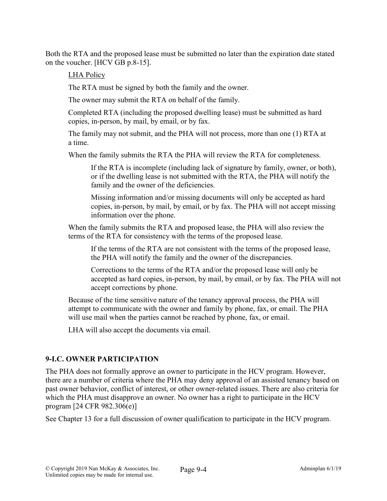Both the RTA and the proposed lease must be submitted no later than the expiration date stated on the voucher. [HCV GB p.8-15].

## LHA Policy

The RTA must be signed by both the family and the owner.

The owner may submit the RTA on behalf of the family.

Completed RTA (including the proposed dwelling lease) must be submitted as hard copies, in-person, by mail, by email, or by fax.

The family may not submit, and the PHA will not process, more than one (1) RTA at a time.

When the family submits the RTA the PHA will review the RTA for completeness.

If the RTA is incomplete (including lack of signature by family, owner, or both), or if the dwelling lease is not submitted with the RTA, the PHA will notify the family and the owner of the deficiencies.

Missing information and/or missing documents will only be accepted as hard copies, in-person, by mail, by email, or by fax. The PHA will not accept missing information over the phone.

When the family submits the RTA and proposed lease, the PHA will also review the terms of the RTA for consistency with the terms of the proposed lease.

If the terms of the RTA are not consistent with the terms of the proposed lease, the PHA will notify the family and the owner of the discrepancies.

Corrections to the terms of the RTA and/or the proposed lease will only be accepted as hard copies, in-person, by mail, by email, or by fax. The PHA will not accept corrections by phone.

Because of the time sensitive nature of the tenancy approval process, the PHA will attempt to communicate with the owner and family by phone, fax, or email. The PHA will use mail when the parties cannot be reached by phone, fax, or email.

LHA will also accept the documents via email.

# **9-I.C. OWNER PARTICIPATION**

The PHA does not formally approve an owner to participate in the HCV program. However, there are a number of criteria where the PHA may deny approval of an assisted tenancy based on past owner behavior, conflict of interest, or other owner-related issues. There are also criteria for which the PHA must disapprove an owner. No owner has a right to participate in the HCV program [24 CFR 982.306(e)]

See Chapter 13 for a full discussion of owner qualification to participate in the HCV program.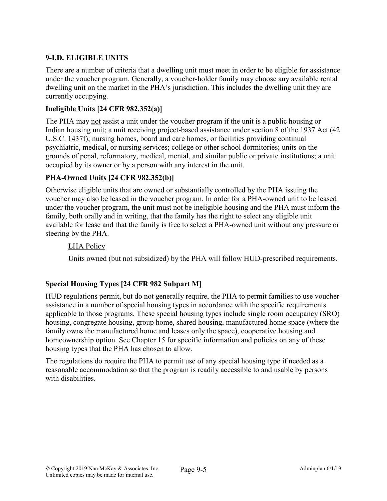# **9-I.D. ELIGIBLE UNITS**

There are a number of criteria that a dwelling unit must meet in order to be eligible for assistance under the voucher program. Generally, a voucher-holder family may choose any available rental dwelling unit on the market in the PHA's jurisdiction. This includes the dwelling unit they are currently occupying.

## **Ineligible Units [24 CFR 982.352(a)]**

The PHA may not assist a unit under the voucher program if the unit is a public housing or Indian housing unit; a unit receiving project-based assistance under section 8 of the 1937 Act (42 U.S.C. 1437f); nursing homes, board and care homes, or facilities providing continual psychiatric, medical, or nursing services; college or other school dormitories; units on the grounds of penal, reformatory, medical, mental, and similar public or private institutions; a unit occupied by its owner or by a person with any interest in the unit.

# **PHA-Owned Units [24 CFR 982.352(b)]**

Otherwise eligible units that are owned or substantially controlled by the PHA issuing the voucher may also be leased in the voucher program. In order for a PHA-owned unit to be leased under the voucher program, the unit must not be ineligible housing and the PHA must inform the family, both orally and in writing, that the family has the right to select any eligible unit available for lease and that the family is free to select a PHA-owned unit without any pressure or steering by the PHA.

## LHA Policy

Units owned (but not subsidized) by the PHA will follow HUD-prescribed requirements.

# **Special Housing Types [24 CFR 982 Subpart M]**

HUD regulations permit, but do not generally require, the PHA to permit families to use voucher assistance in a number of special housing types in accordance with the specific requirements applicable to those programs. These special housing types include single room occupancy (SRO) housing, congregate housing, group home, shared housing, manufactured home space (where the family owns the manufactured home and leases only the space), cooperative housing and homeownership option. See Chapter 15 for specific information and policies on any of these housing types that the PHA has chosen to allow.

The regulations do require the PHA to permit use of any special housing type if needed as a reasonable accommodation so that the program is readily accessible to and usable by persons with disabilities.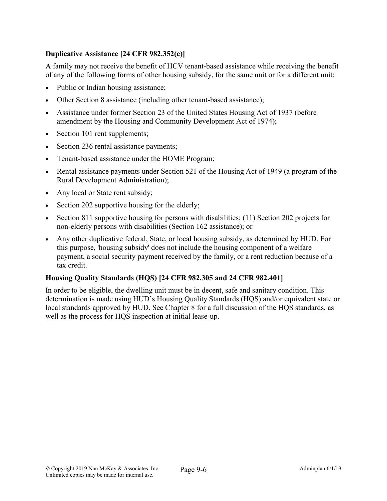## **Duplicative Assistance [24 CFR 982.352(c)]**

A family may not receive the benefit of HCV tenant-based assistance while receiving the benefit of any of the following forms of other housing subsidy, for the same unit or for a different unit:

- Public or Indian housing assistance;
- Other Section 8 assistance (including other tenant-based assistance);
- Assistance under former Section 23 of the United States Housing Act of 1937 (before amendment by the Housing and Community Development Act of 1974);
- Section 101 rent supplements;
- Section 236 rental assistance payments;
- Tenant-based assistance under the HOME Program;
- Rental assistance payments under Section 521 of the Housing Act of 1949 (a program of the Rural Development Administration);
- Any local or State rent subsidy;
- Section 202 supportive housing for the elderly;
- Section 811 supportive housing for persons with disabilities; (11) Section 202 projects for non-elderly persons with disabilities (Section 162 assistance); or
- Any other duplicative federal, State, or local housing subsidy, as determined by HUD. For this purpose, 'housing subsidy' does not include the housing component of a welfare payment, a social security payment received by the family, or a rent reduction because of a tax credit.

#### **Housing Quality Standards (HQS) [24 CFR 982.305 and 24 CFR 982.401]**

In order to be eligible, the dwelling unit must be in decent, safe and sanitary condition. This determination is made using HUD's Housing Quality Standards (HQS) and/or equivalent state or local standards approved by HUD. See Chapter 8 for a full discussion of the HQS standards, as well as the process for HQS inspection at initial lease-up.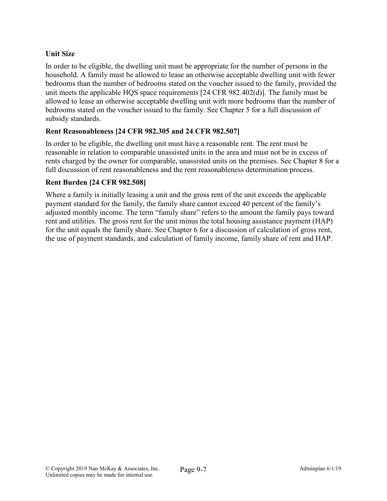## **Unit Size**

In order to be eligible, the dwelling unit must be appropriate for the number of persons in the household. A family must be allowed to lease an otherwise acceptable dwelling unit with fewer bedrooms than the number of bedrooms stated on the voucher issued to the family, provided the unit meets the applicable HQS space requirements [24 CFR 982.402(d)]. The family must be allowed to lease an otherwise acceptable dwelling unit with more bedrooms than the number of bedrooms stated on the voucher issued to the family. See Chapter 5 for a full discussion of subsidy standards.

### **Rent Reasonableness [24 CFR 982.305 and 24 CFR 982.507]**

In order to be eligible, the dwelling unit must have a reasonable rent. The rent must be reasonable in relation to comparable unassisted units in the area and must not be in excess of rents charged by the owner for comparable, unassisted units on the premises. See Chapter 8 for a full discussion of rent reasonableness and the rent reasonableness determination process.

### **Rent Burden [24 CFR 982.508]**

Where a family is initially leasing a unit and the gross rent of the unit exceeds the applicable payment standard for the family, the family share cannot exceed 40 percent of the family's adjusted monthly income. The term "family share" refers to the amount the family pays toward rent and utilities. The gross rent for the unit minus the total housing assistance payment (HAP) for the unit equals the family share. See Chapter 6 for a discussion of calculation of gross rent, the use of payment standards, and calculation of family income, family share of rent and HAP.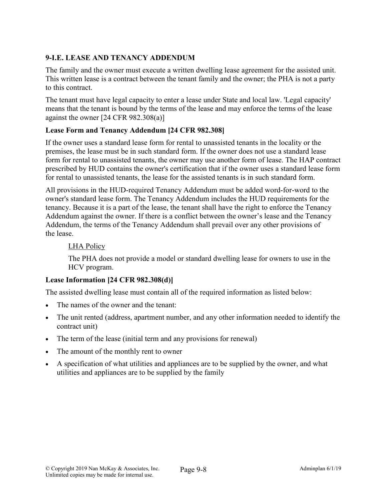# **9-I.E. LEASE AND TENANCY ADDENDUM**

The family and the owner must execute a written dwelling lease agreement for the assisted unit. This written lease is a contract between the tenant family and the owner; the PHA is not a party to this contract.

The tenant must have legal capacity to enter a lease under State and local law. 'Legal capacity' means that the tenant is bound by the terms of the lease and may enforce the terms of the lease against the owner [24 CFR 982.308(a)]

## **Lease Form and Tenancy Addendum [24 CFR 982.308]**

If the owner uses a standard lease form for rental to unassisted tenants in the locality or the premises, the lease must be in such standard form. If the owner does not use a standard lease form for rental to unassisted tenants, the owner may use another form of lease. The HAP contract prescribed by HUD contains the owner's certification that if the owner uses a standard lease form for rental to unassisted tenants, the lease for the assisted tenants is in such standard form.

All provisions in the HUD-required Tenancy Addendum must be added word-for-word to the owner's standard lease form. The Tenancy Addendum includes the HUD requirements for the tenancy. Because it is a part of the lease, the tenant shall have the right to enforce the Tenancy Addendum against the owner. If there is a conflict between the owner's lease and the Tenancy Addendum, the terms of the Tenancy Addendum shall prevail over any other provisions of the lease.

## LHA Policy

The PHA does not provide a model or standard dwelling lease for owners to use in the HCV program.

# **Lease Information [24 CFR 982.308(d)]**

The assisted dwelling lease must contain all of the required information as listed below:

- The names of the owner and the tenant:
- The unit rented (address, apartment number, and any other information needed to identify the contract unit)
- The term of the lease (initial term and any provisions for renewal)
- The amount of the monthly rent to owner
- A specification of what utilities and appliances are to be supplied by the owner, and what utilities and appliances are to be supplied by the family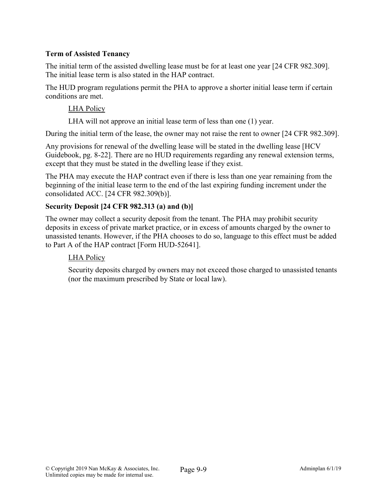## **Term of Assisted Tenancy**

The initial term of the assisted dwelling lease must be for at least one year [24 CFR 982.309]. The initial lease term is also stated in the HAP contract.

The HUD program regulations permit the PHA to approve a shorter initial lease term if certain conditions are met.

### LHA Policy

LHA will not approve an initial lease term of less than one (1) year.

During the initial term of the lease, the owner may not raise the rent to owner [24 CFR 982.309].

Any provisions for renewal of the dwelling lease will be stated in the dwelling lease [HCV Guidebook, pg. 8-22]. There are no HUD requirements regarding any renewal extension terms, except that they must be stated in the dwelling lease if they exist.

The PHA may execute the HAP contract even if there is less than one year remaining from the beginning of the initial lease term to the end of the last expiring funding increment under the consolidated ACC. [24 CFR 982.309(b)].

## **Security Deposit [24 CFR 982.313 (a) and (b)]**

The owner may collect a security deposit from the tenant. The PHA may prohibit security deposits in excess of private market practice, or in excess of amounts charged by the owner to unassisted tenants. However, if the PHA chooses to do so, language to this effect must be added to Part A of the HAP contract [Form HUD-52641].

# LHA Policy

Security deposits charged by owners may not exceed those charged to unassisted tenants (nor the maximum prescribed by State or local law).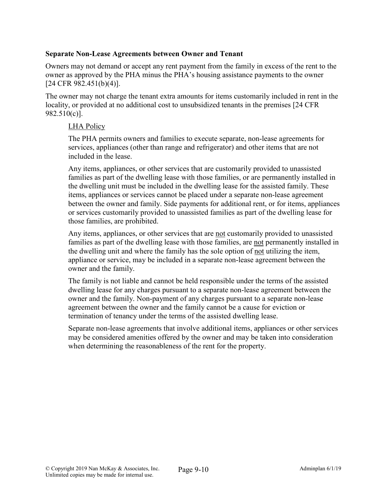#### **Separate Non-Lease Agreements between Owner and Tenant**

Owners may not demand or accept any rent payment from the family in excess of the rent to the owner as approved by the PHA minus the PHA's housing assistance payments to the owner [24 CFR 982.451(b)(4)].

The owner may not charge the tenant extra amounts for items customarily included in rent in the locality, or provided at no additional cost to unsubsidized tenants in the premises [24 CFR 982.510(c)].

#### LHA Policy

The PHA permits owners and families to execute separate, non-lease agreements for services, appliances (other than range and refrigerator) and other items that are not included in the lease.

Any items, appliances, or other services that are customarily provided to unassisted families as part of the dwelling lease with those families, or are permanently installed in the dwelling unit must be included in the dwelling lease for the assisted family. These items, appliances or services cannot be placed under a separate non-lease agreement between the owner and family. Side payments for additional rent, or for items, appliances or services customarily provided to unassisted families as part of the dwelling lease for those families, are prohibited.

Any items, appliances, or other services that are not customarily provided to unassisted families as part of the dwelling lease with those families, are not permanently installed in the dwelling unit and where the family has the sole option of not utilizing the item, appliance or service, may be included in a separate non-lease agreement between the owner and the family.

The family is not liable and cannot be held responsible under the terms of the assisted dwelling lease for any charges pursuant to a separate non-lease agreement between the owner and the family. Non-payment of any charges pursuant to a separate non-lease agreement between the owner and the family cannot be a cause for eviction or termination of tenancy under the terms of the assisted dwelling lease.

Separate non-lease agreements that involve additional items, appliances or other services may be considered amenities offered by the owner and may be taken into consideration when determining the reasonableness of the rent for the property.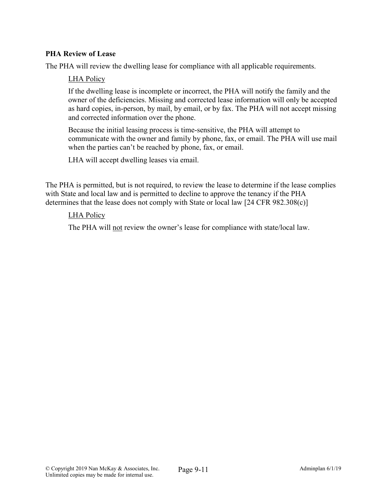## **PHA Review of Lease**

The PHA will review the dwelling lease for compliance with all applicable requirements.

#### LHA Policy

If the dwelling lease is incomplete or incorrect, the PHA will notify the family and the owner of the deficiencies. Missing and corrected lease information will only be accepted as hard copies, in-person, by mail, by email, or by fax. The PHA will not accept missing and corrected information over the phone.

Because the initial leasing process is time-sensitive, the PHA will attempt to communicate with the owner and family by phone, fax, or email. The PHA will use mail when the parties can't be reached by phone, fax, or email.

LHA will accept dwelling leases via email.

The PHA is permitted, but is not required, to review the lease to determine if the lease complies with State and local law and is permitted to decline to approve the tenancy if the PHA determines that the lease does not comply with State or local law [24 CFR 982.308(c)]

#### LHA Policy

The PHA will not review the owner's lease for compliance with state/local law.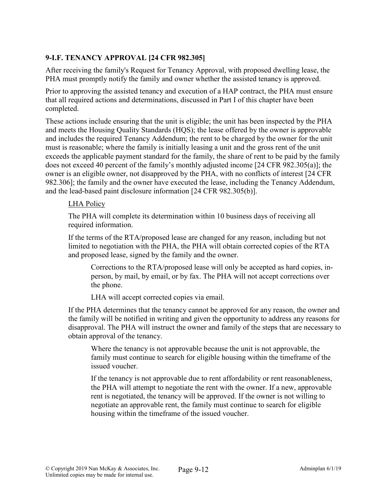## **9-I.F. TENANCY APPROVAL [24 CFR 982.305]**

After receiving the family's Request for Tenancy Approval, with proposed dwelling lease, the PHA must promptly notify the family and owner whether the assisted tenancy is approved.

Prior to approving the assisted tenancy and execution of a HAP contract, the PHA must ensure that all required actions and determinations, discussed in Part I of this chapter have been completed.

These actions include ensuring that the unit is eligible; the unit has been inspected by the PHA and meets the Housing Quality Standards (HQS); the lease offered by the owner is approvable and includes the required Tenancy Addendum; the rent to be charged by the owner for the unit must is reasonable; where the family is initially leasing a unit and the gross rent of the unit exceeds the applicable payment standard for the family, the share of rent to be paid by the family does not exceed 40 percent of the family's monthly adjusted income [24 CFR 982.305(a)]; the owner is an eligible owner, not disapproved by the PHA, with no conflicts of interest [24 CFR 982.306]; the family and the owner have executed the lease, including the Tenancy Addendum, and the lead-based paint disclosure information [24 CFR 982.305(b)].

### LHA Policy

The PHA will complete its determination within 10 business days of receiving all required information.

If the terms of the RTA/proposed lease are changed for any reason, including but not limited to negotiation with the PHA, the PHA will obtain corrected copies of the RTA and proposed lease, signed by the family and the owner.

Corrections to the RTA/proposed lease will only be accepted as hard copies, inperson, by mail, by email, or by fax. The PHA will not accept corrections over the phone.

LHA will accept corrected copies via email.

If the PHA determines that the tenancy cannot be approved for any reason, the owner and the family will be notified in writing and given the opportunity to address any reasons for disapproval. The PHA will instruct the owner and family of the steps that are necessary to obtain approval of the tenancy.

Where the tenancy is not approvable because the unit is not approvable, the family must continue to search for eligible housing within the timeframe of the issued voucher.

If the tenancy is not approvable due to rent affordability or rent reasonableness, the PHA will attempt to negotiate the rent with the owner. If a new, approvable rent is negotiated, the tenancy will be approved. If the owner is not willing to negotiate an approvable rent, the family must continue to search for eligible housing within the timeframe of the issued voucher.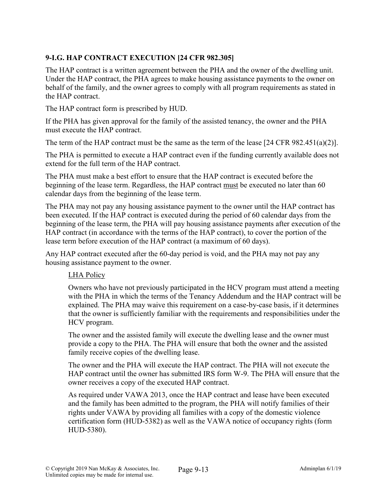# **9-I.G. HAP CONTRACT EXECUTION [24 CFR 982.305]**

The HAP contract is a written agreement between the PHA and the owner of the dwelling unit. Under the HAP contract, the PHA agrees to make housing assistance payments to the owner on behalf of the family, and the owner agrees to comply with all program requirements as stated in the HAP contract.

The HAP contract form is prescribed by HUD.

If the PHA has given approval for the family of the assisted tenancy, the owner and the PHA must execute the HAP contract.

The term of the HAP contract must be the same as the term of the lease [24 CFR 982.451(a)(2)].

The PHA is permitted to execute a HAP contract even if the funding currently available does not extend for the full term of the HAP contract.

The PHA must make a best effort to ensure that the HAP contract is executed before the beginning of the lease term. Regardless, the HAP contract must be executed no later than 60 calendar days from the beginning of the lease term.

The PHA may not pay any housing assistance payment to the owner until the HAP contract has been executed. If the HAP contract is executed during the period of 60 calendar days from the beginning of the lease term, the PHA will pay housing assistance payments after execution of the HAP contract (in accordance with the terms of the HAP contract), to cover the portion of the lease term before execution of the HAP contract (a maximum of 60 days).

Any HAP contract executed after the 60-day period is void, and the PHA may not pay any housing assistance payment to the owner.

### LHA Policy

Owners who have not previously participated in the HCV program must attend a meeting with the PHA in which the terms of the Tenancy Addendum and the HAP contract will be explained. The PHA may waive this requirement on a case-by-case basis, if it determines that the owner is sufficiently familiar with the requirements and responsibilities under the HCV program.

The owner and the assisted family will execute the dwelling lease and the owner must provide a copy to the PHA. The PHA will ensure that both the owner and the assisted family receive copies of the dwelling lease.

The owner and the PHA will execute the HAP contract. The PHA will not execute the HAP contract until the owner has submitted IRS form W-9. The PHA will ensure that the owner receives a copy of the executed HAP contract.

As required under VAWA 2013, once the HAP contract and lease have been executed and the family has been admitted to the program, the PHA will notify families of their rights under VAWA by providing all families with a copy of the domestic violence certification form (HUD-5382) as well as the VAWA notice of occupancy rights (form HUD-5380).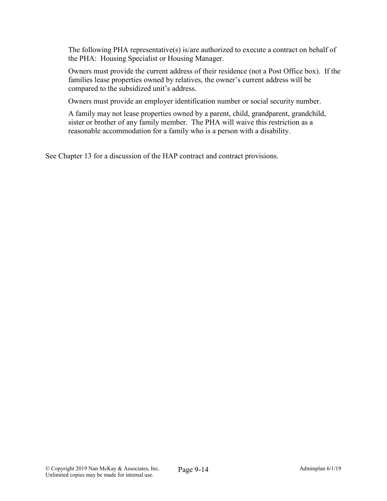The following PHA representative(s) is/are authorized to execute a contract on behalf of the PHA: Housing Specialist or Housing Manager.

Owners must provide the current address of their residence (not a Post Office box). If the families lease properties owned by relatives, the owner's current address will be compared to the subsidized unit's address.

Owners must provide an employer identification number or social security number.

A family may not lease properties owned by a parent, child, grandparent, grandchild, sister or brother of any family member. The PHA will waive this restriction as a reasonable accommodation for a family who is a person with a disability.

See Chapter 13 for a discussion of the HAP contract and contract provisions.